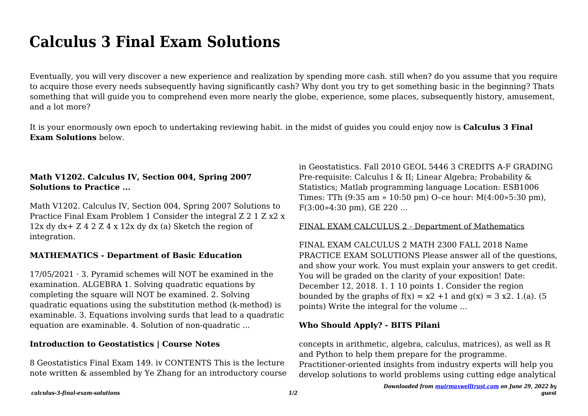# **Calculus 3 Final Exam Solutions**

Eventually, you will very discover a new experience and realization by spending more cash. still when? do you assume that you require to acquire those every needs subsequently having significantly cash? Why dont you try to get something basic in the beginning? Thats something that will guide you to comprehend even more nearly the globe, experience, some places, subsequently history, amusement, and a lot more?

It is your enormously own epoch to undertaking reviewing habit. in the midst of guides you could enjoy now is **Calculus 3 Final Exam Solutions** below.

## **Math V1202. Calculus IV, Section 004, Spring 2007 Solutions to Practice ...**

Math V1202. Calculus IV, Section 004, Spring 2007 Solutions to Practice Final Exam Problem 1 Consider the integral Z 2 1 Z x2 x 12x dy dx+ Z 4 2 Z 4 x 12x dy dx (a) Sketch the region of integration.

## **MATHEMATICS - Department of Basic Education**

 $17/05/2021 \cdot 3$ . Pyramid schemes will NOT be examined in the examination. ALGEBRA 1. Solving quadratic equations by completing the square will NOT be examined. 2. Solving quadratic equations using the substitution method (k-method) is examinable. 3. Equations involving surds that lead to a quadratic equation are examinable. 4. Solution of non-quadratic ...

## **Introduction to Geostatistics | Course Notes**

8 Geostatistics Final Exam 149. iv CONTENTS This is the lecture note written & assembled by Ye Zhang for an introductory course in Geostatistics. Fall 2010 GEOL 5446 3 CREDITS A-F GRADING Pre-requisite: Calculus I & II; Linear Algebra; Probability & Statistics; Matlab programming language Location: ESB1006 Times: TTh (9:35 am » 10:50 pm) O–ce hour: M(4:00»5:30 pm), F(3:00»4:30 pm), GE 220 ...

#### FINAL EXAM CALCULUS 2 - Department of Mathematics

FINAL EXAM CALCULUS 2 MATH 2300 FALL 2018 Name PRACTICE EXAM SOLUTIONS Please answer all of the questions, and show your work. You must explain your answers to get credit. You will be graded on the clarity of your exposition! Date: December 12, 2018. 1. 1 10 points 1. Consider the region bounded by the graphs of  $f(x) = x^2 + 1$  and  $g(x) = 3x^2$ . 1.(a). (5 points) Write the integral for the volume ...

#### **Who Should Apply? - BITS Pilani**

concepts in arithmetic, algebra, calculus, matrices), as well as R and Python to help them prepare for the programme.

Practitioner-oriented insights from industry experts will help you develop solutions to world problems using cutting edge analytical